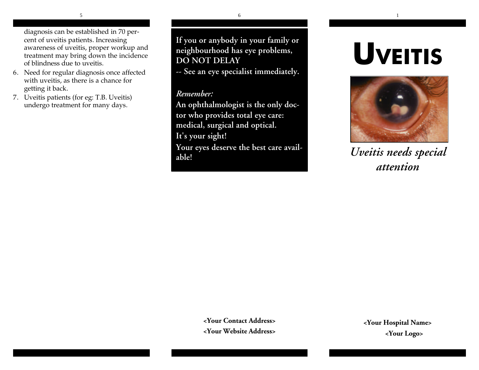diagnosis can be established in 70 percent of uveitis patients. Increasing awareness of uveitis, proper workup and treatment may bring down the incidence of blindness due to uveitis.

- 6. Need for regular diagnosis once affected with uveitis, as there is a chance for getting it back.
- 7. Uveitis patients (for eg: T.B. Uveitis) undergo treatment for many days.

**If you or anybody in your family or neighbourhood has eye problems, DO NOT DELAY**

**-- See an eye specialist immediately.**

#### *Remember:*

**An ophthalmologist is the only doctor who provides total eye care: medical, surgical and optical. It's your sight!**

**Your eyes deserve the best care available!**

# **UVEITIS**



*Uveitis needs special attention*

**<Your Contact Address> <Your Website Address>**

**<Your Hospital Name> <Your Logo>**